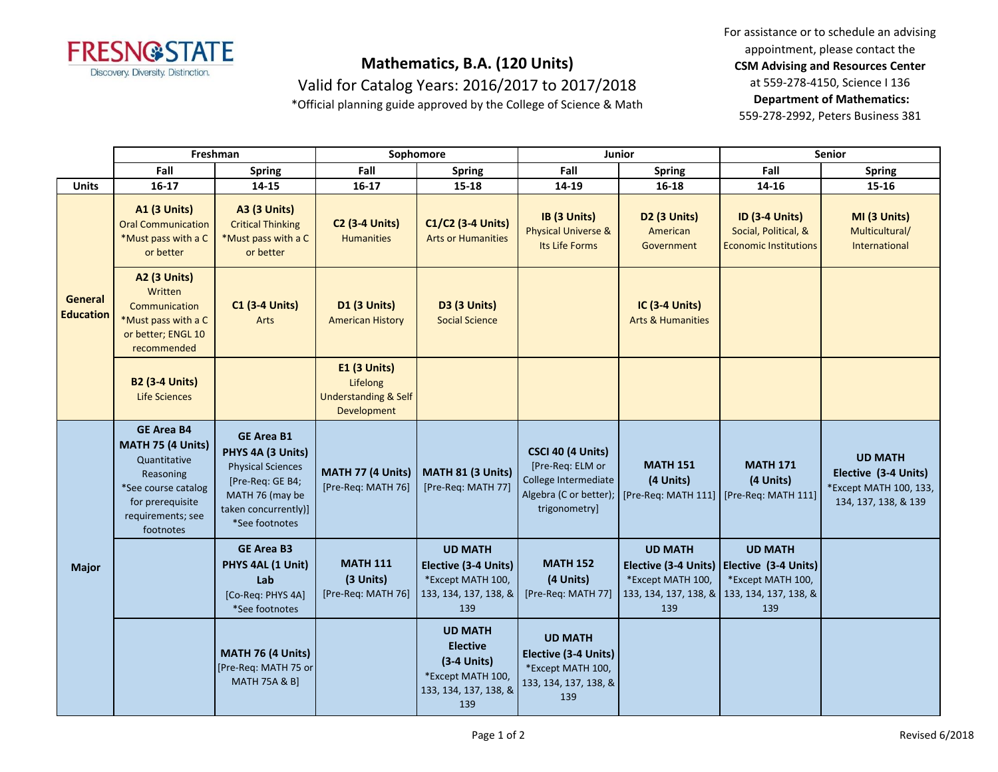

## **Mathematics, B.A. (120 Units)**

Valid for Catalog Years: 2016/2017 to 2017/2018

\*Official planning guide approved by the College of Science & Math

For assistance or to schedule an advising appointment, please contact the **CSM Advising and Resources Center** at 559-278-4150, Science I 136 **Department of Mathematics:** 559-278-2992, Peters Business 381

|                             | Freshman                                                                                                                                         |                                                                                                                                                     | Sophomore                                                                  |                                                                                                         | Junior                                                                                                   |                                                                                             | <b>Senior</b>                                                                               |                                                                                          |
|-----------------------------|--------------------------------------------------------------------------------------------------------------------------------------------------|-----------------------------------------------------------------------------------------------------------------------------------------------------|----------------------------------------------------------------------------|---------------------------------------------------------------------------------------------------------|----------------------------------------------------------------------------------------------------------|---------------------------------------------------------------------------------------------|---------------------------------------------------------------------------------------------|------------------------------------------------------------------------------------------|
|                             | Fall                                                                                                                                             | <b>Spring</b>                                                                                                                                       | Fall                                                                       | <b>Spring</b>                                                                                           | Fall                                                                                                     | <b>Spring</b>                                                                               | Fall                                                                                        | <b>Spring</b>                                                                            |
| <b>Units</b>                | $16 - 17$                                                                                                                                        | 14-15                                                                                                                                               | $16 - 17$                                                                  | 15-18                                                                                                   | 14-19                                                                                                    | $16 - 18$                                                                                   | 14-16                                                                                       | 15-16                                                                                    |
| General<br><b>Education</b> | <b>A1 (3 Units)</b><br><b>Oral Communication</b><br>*Must pass with a C<br>or better                                                             | <b>A3 (3 Units)</b><br><b>Critical Thinking</b><br>*Must pass with a C<br>or better                                                                 | <b>C2 (3-4 Units)</b><br><b>Humanities</b>                                 | C1/C2 (3-4 Units)<br><b>Arts or Humanities</b>                                                          | IB (3 Units)<br><b>Physical Universe &amp;</b><br>Its Life Forms                                         | <b>D2 (3 Units)</b><br>American<br>Government                                               | <b>ID (3-4 Units)</b><br>Social, Political, &<br><b>Economic Institutions</b>               | MI (3 Units)<br>Multicultural/<br>International                                          |
|                             | <b>A2 (3 Units)</b><br>Written<br>Communication<br>*Must pass with a C<br>or better; ENGL 10<br>recommended                                      | <b>C1 (3-4 Units)</b><br>Arts                                                                                                                       | D1 (3 Units)<br><b>American History</b>                                    | <b>D3 (3 Units)</b><br><b>Social Science</b>                                                            |                                                                                                          | <b>IC (3-4 Units)</b><br><b>Arts &amp; Humanities</b>                                       |                                                                                             |                                                                                          |
|                             | <b>B2 (3-4 Units)</b><br><b>Life Sciences</b>                                                                                                    |                                                                                                                                                     | E1 (3 Units)<br>Lifelong<br><b>Understanding &amp; Self</b><br>Development |                                                                                                         |                                                                                                          |                                                                                             |                                                                                             |                                                                                          |
| <b>Major</b>                | <b>GE Area B4</b><br>MATH 75 (4 Units)<br>Quantitative<br>Reasoning<br>*See course catalog<br>for prerequisite<br>requirements; see<br>footnotes | <b>GE Area B1</b><br>PHYS 4A (3 Units)<br><b>Physical Sciences</b><br>[Pre-Req: GE B4;<br>MATH 76 (may be<br>taken concurrently)]<br>*See footnotes | MATH 77 (4 Units)<br>[Pre-Req: MATH 76]                                    | MATH 81 (3 Units)<br>[Pre-Req: MATH 77]                                                                 | CSCI 40 (4 Units)<br>[Pre-Req: ELM or<br>College Intermediate<br>Algebra (C or better);<br>trigonometry] | <b>MATH 151</b><br>(4 Units)<br>[Pre-Req: MATH 111] [Pre-Req: MATH 111]                     | <b>MATH 171</b><br>(4 Units)                                                                | <b>UD MATH</b><br>Elective (3-4 Units)<br>*Except MATH 100, 133,<br>134, 137, 138, & 139 |
|                             |                                                                                                                                                  | <b>GE Area B3</b><br>PHYS 4AL (1 Unit)<br>Lab<br>[Co-Req: PHYS 4A]<br>*See footnotes                                                                | <b>MATH 111</b><br>(3 Units)<br>[Pre-Req: MATH 76]                         | <b>UD MATH</b><br>Elective (3-4 Units)<br>*Except MATH 100,<br>133, 134, 137, 138, &<br>139             | <b>MATH 152</b><br>(4 Units)<br>[Pre-Req: MATH 77]                                                       | <b>UD MATH</b><br>Elective (3-4 Units)<br>*Except MATH 100,<br>133, 134, 137, 138, &<br>139 | <b>UD MATH</b><br>Elective (3-4 Units)<br>*Except MATH 100,<br>133, 134, 137, 138, &<br>139 |                                                                                          |
|                             |                                                                                                                                                  | MATH 76 (4 Units)<br>[Pre-Req: MATH 75 or<br><b>MATH 75A &amp; B]</b>                                                                               |                                                                            | <b>UD MATH</b><br><b>Elective</b><br>$(3-4$ Units)<br>*Except MATH 100,<br>133, 134, 137, 138, &<br>139 | <b>UD MATH</b><br>Elective (3-4 Units)<br>*Except MATH 100,<br>133, 134, 137, 138, &<br>139              |                                                                                             |                                                                                             |                                                                                          |